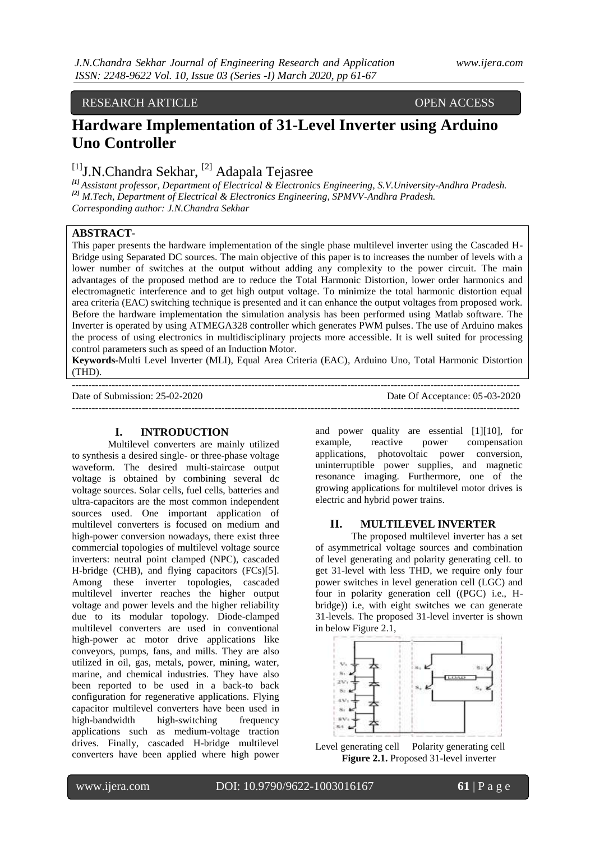## RESEARCH ARTICLE OPEN ACCESS

# **Hardware Implementation of 31-Level Inverter using Arduino Uno Controller**

# $[1]$ J.N.Chandra Sekhar,  $[2]$  Adapala Tejasree

*[1] Assistant professor, Department of Electrical & Electronics Engineering, S.V.University-Andhra Pradesh. [2] M.Tech, Department of Electrical & Electronics Engineering, SPMVV-Andhra Pradesh. Corresponding author: J.N.Chandra Sekhar*

## **ABSTRACT-**

This paper presents the hardware implementation of the single phase multilevel inverter using the Cascaded H-Bridge using Separated DC sources. The main objective of this paper is to increases the number of levels with a lower number of switches at the output without adding any complexity to the power circuit. The main advantages of the proposed method are to reduce the Total Harmonic Distortion, lower order harmonics and electromagnetic interference and to get high output voltage. To minimize the total harmonic distortion equal area criteria (EAC) switching technique is presented and it can enhance the output voltages from proposed work. Before the hardware implementation the simulation analysis has been performed using Matlab software. The Inverter is operated by using ATMEGA328 controller which generates PWM pulses. The use of Arduino makes the process of using electronics in multidisciplinary projects more accessible. It is well suited for processing control parameters such as speed of an Induction Motor.

**Keywords-**Multi Level Inverter (MLI), Equal Area Criteria (EAC), Arduino Uno, Total Harmonic Distortion (THD).

Date of Submission: 25-02-2020 Date Of Acceptance: 05-03-2020

```
---------------------------------------------------------------------------------------------------------------------------------------
```
---------------------------------------------------------------------------------------------------------------------------------------

# **I. INTRODUCTION**

Multilevel converters are mainly utilized to synthesis a desired single- or three-phase voltage waveform. The desired multi-staircase output voltage is obtained by combining several dc voltage sources. Solar cells, fuel cells, batteries and ultra-capacitors are the most common independent sources used. One important application of multilevel converters is focused on medium and high-power conversion nowadays, there exist three commercial topologies of multilevel voltage source inverters: neutral point clamped (NPC), cascaded H-bridge (CHB), and flying capacitors (FCs)[5]. Among these inverter topologies, cascaded multilevel inverter reaches the higher output voltage and power levels and the higher reliability due to its modular topology. Diode-clamped multilevel converters are used in conventional high-power ac motor drive applications like conveyors, pumps, fans, and mills. They are also utilized in oil, gas, metals, power, mining, water, marine, and chemical industries. They have also been reported to be used in a back-to back configuration for regenerative applications. Flying capacitor multilevel converters have been used in high-bandwidth high-switching frequency applications such as medium-voltage traction drives. Finally, cascaded H-bridge multilevel converters have been applied where high power

and power quality are essential [1][10], for example, reactive power compensation applications, photovoltaic power conversion, uninterruptible power supplies, and magnetic resonance imaging. Furthermore, one of the growing applications for multilevel motor drives is electric and hybrid power trains.

## **II. MULTILEVEL INVERTER**

The proposed multilevel inverter has a set of asymmetrical voltage sources and combination of level generating and polarity generating cell. to get 31-level with less THD, we require only four power switches in level generation cell (LGC) and four in polarity generation cell ((PGC) i.e., Hbridge)) i.e, with eight switches we can generate 31-levels. The proposed 31-level inverter is shown in below Figure 2.1,



Level generating cell Polarity generating cell **Figure 2.1.** Proposed 31-level inverter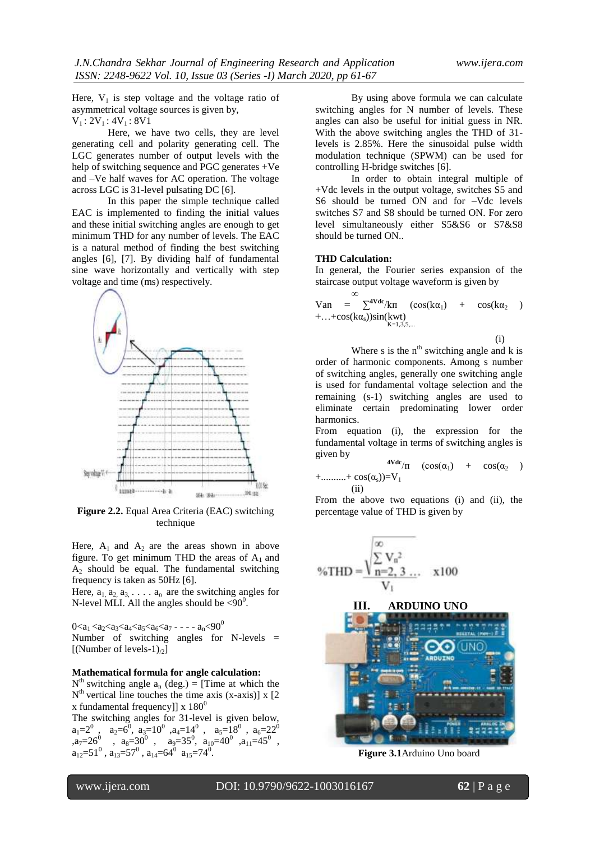Here,  $V_1$  is step voltage and the voltage ratio of asymmetrical voltage sources is given by,  $V_1$ : 2V<sub>1</sub>: 4V<sub>1</sub>: 8V1

Here, we have two cells, they are level generating cell and polarity generating cell. The LGC generates number of output levels with the help of switching sequence and PGC generates +Ve and –Ve half waves for AC operation. The voltage across LGC is 31-level pulsating DC [6].

In this paper the simple technique called EAC is implemented to finding the initial values and these initial switching angles are enough to get minimum THD for any number of levels. The EAC is a natural method of finding the best switching angles [6], [7]. By dividing half of fundamental sine wave horizontally and vertically with step voltage and time (ms) respectively.



**Figure 2.2.** Equal Area Criteria (EAC) switching technique

Here,  $A_1$  and  $A_2$  are the areas shown in above figure. To get minimum THD the areas of  $A_1$  and  $A<sub>2</sub>$  should be equal. The fundamental switching frequency is taken as 50Hz [6].

Here,  $a_1, a_2, a_3, \ldots, a_n$  are the switching angles for N-level MLI. All the angles should be  $\langle 90^\circ \rangle$ .

0<a<sub>1</sub> <a<sub>2</sub><a<sub>3</sub> <a<sub>4</sub><a<sub>5</sub> <a<sub>6</sub><a<sub>7</sub> - - - - a<sub>n</sub> <90<sup>0</sup> Number of switching angles for N-levels = [(Number of levels-1)<sub> $\alpha$ </sub>]

### **Mathematical formula for angle calculation:**

 $N<sup>th</sup>$  switching angle  $a_n$  (deg.) = [Time at which the  $N<sup>th</sup>$  vertical line touches the time axis (x-axis)] x [2] x fundamental frequencyll x  $180^0$ 

The switching angles for 31-level is given below,  $a_1=2^0$ ,  $a_2=6^0$ ,  $a_3=10^0$ ,  $a_4=14^0$ ,  $a_5=18^0$ ,  $a_6=22^0$ , $a_7=26^0$  ,  $a_8=30^0$ ,  $a_9=35^0$ ,  $a_{10}=40^0$ ,  $a_{11}=45^0$ ,  $a_{12}=51^{\circ}$ ,  $a_{13}=57^{\circ}$ ,  $a_{14}=64^{\circ}$   $a_{15}=74^{\circ}$ .

By using above formula we can calculate switching angles for N number of levels. These angles can also be useful for initial guess in NR. With the above switching angles the THD of 31 levels is 2.85%. Here the sinusoidal pulse width modulation technique (SPWM) can be used for controlling H-bridge switches [6].

In order to obtain integral multiple of +Vdc levels in the output voltage, switches S5 and S6 should be turned ON and for –Vdc levels switches S7 and S8 should be turned ON. For zero level simultaneously either S5&S6 or S7&S8 should be turned ON..

#### **THD Calculation:**

In general, the Fourier series expansion of the staircase output voltage waveform is given by

∞ Van =  $\sum^{\text{4Vdc}}$ /kn (cos(k $\alpha_1$ ) + cos(k $\alpha_2$ )  $+...+cos(k\alpha_{s})\sin(kwt)$ <sub>K=1,3,5,...</sub>

 $(i)$ 

Where s is the  $n<sup>th</sup>$  switching angle and k is order of harmonic components. Among s number of switching angles, generally one switching angle is used for fundamental voltage selection and the remaining (s-1) switching angles are used to eliminate certain predominating lower order harmonics.

From equation (i), the expression for the fundamental voltage in terms of switching angles is given by

$$
4Vdc_{/\Pi} \quad (cos(\alpha_1) + cos(\alpha_2) + \dots + cos(\alpha_s))=V_1
$$

(ii)

From the above two equations (i) and (ii), the percentage value of THD is given by

$$
\%THD = \frac{\sqrt{\sum_{n=2, 3 ...}^{\infty} V_n^2}}{V_1} \quad \times 100
$$

#### **III. ARDUINO UNO**



**Figure 3.1**Arduino Uno board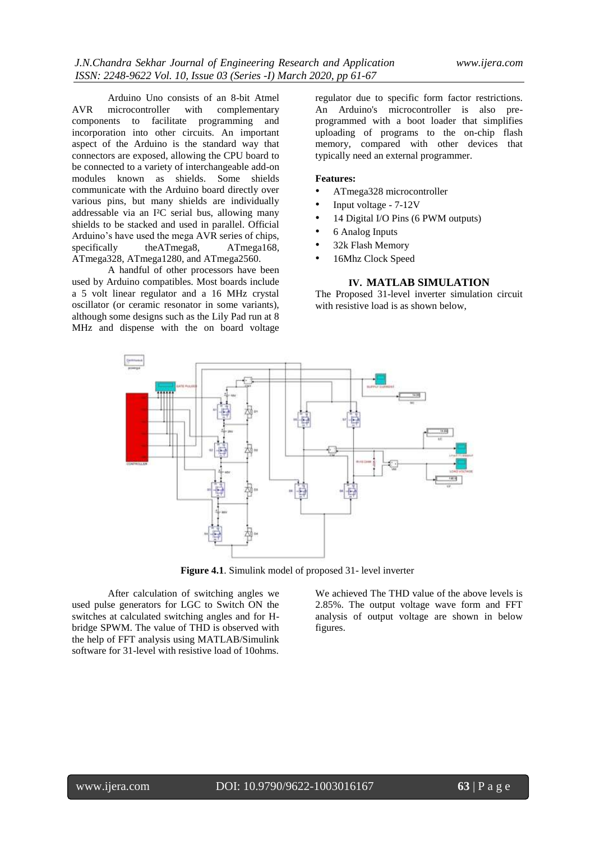Arduino Uno consists of an 8-bit Atmel AVR microcontroller with complementary components to facilitate programming and incorporation into other circuits. An important aspect of the Arduino is the standard way that connectors are exposed, allowing the CPU board to be connected to a variety of interchangeable add-on modules known as shields. Some shields communicate with the Arduino board directly over various pins, but many shields are individually addressable via an I²C serial bus, allowing many shields to be stacked and used in parallel. Official Arduino's have used the mega AVR series of chips, specifically theATmega8, ATmega168, ATmega328, ATmega1280, and ATmega2560.

A handful of other processors have been used by Arduino compatibles. Most boards include a 5 volt linear regulator and a 16 MHz crystal oscillator (or ceramic resonator in some variants), although some designs such as the Lily Pad run at 8 MHz and dispense with the on board voltage

regulator due to specific form factor restrictions. An Arduino's microcontroller is also preprogrammed with a boot loader that simplifies uploading of programs to the on-chip flash memory, compared with other devices that typically need an external programmer.

#### **Features:**

- ATmega328 microcontroller
- Input voltage 7-12V
- 14 Digital I/O Pins (6 PWM outputs)
- 6 Analog Inputs
- 32k Flash Memory
- 16Mhz Clock Speed

#### **IV. MATLAB SIMULATION**

The Proposed 31-level inverter simulation circuit with resistive load is as shown below,



**Figure 4.1**. Simulink model of proposed 31- level inverter

After calculation of switching angles we used pulse generators for LGC to Switch ON the switches at calculated switching angles and for Hbridge SPWM. The value of THD is observed with the help of FFT analysis using MATLAB/Simulink software for 31-level with resistive load of 10ohms.

We achieved The THD value of the above levels is 2.85%. The output voltage wave form and FFT analysis of output voltage are shown in below figures.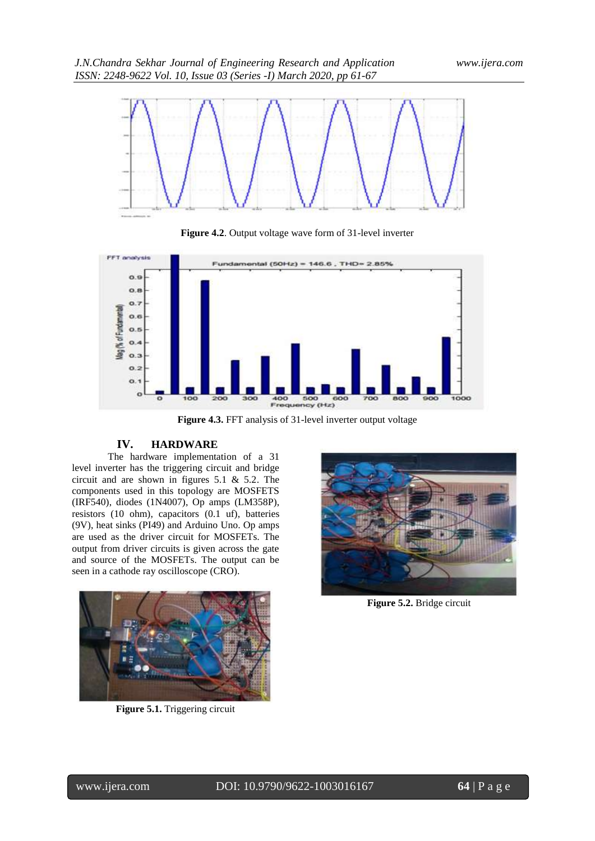

**Figure 4.2**. Output voltage wave form of 31-level inverter



**Figure 4.3.** FFT analysis of 31-level inverter output voltage

# **IV. HARDWARE**

The hardware implementation of a 31 level inverter has the triggering circuit and bridge circuit and are shown in figures 5.1 & 5.2. The components used in this topology are MOSFETS (IRF540), diodes (1N4007), Op amps (LM358P), resistors (10 ohm), capacitors (0.1 uf), batteries (9V), heat sinks (PI49) and Arduino Uno. Op amps are used as the driver circuit for MOSFETs. The output from driver circuits is given across the gate and source of the MOSFETs. The output can be seen in a cathode ray oscilloscope (CRO).



**Figure 5.1.** Triggering circuit



**Figure 5.2.** Bridge circuit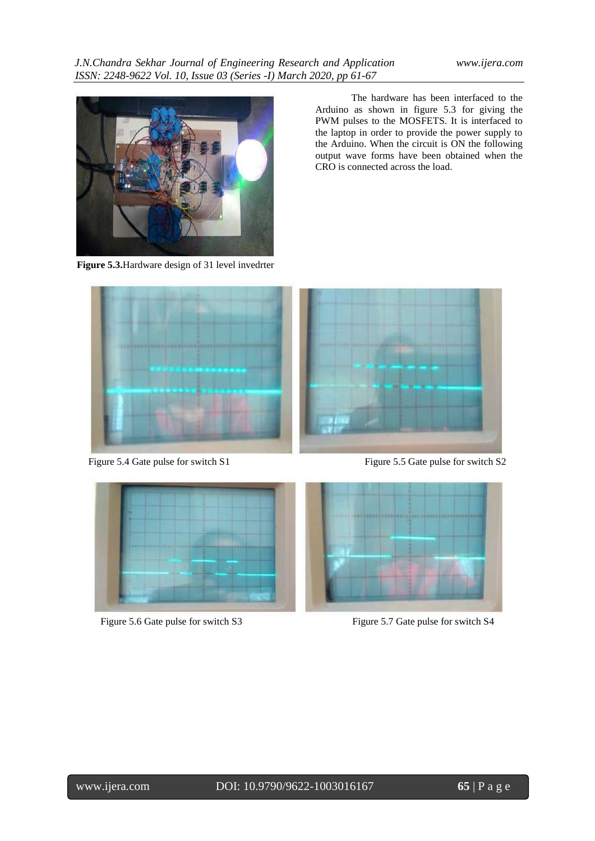

**Figure 5.3.**Hardware design of 31 level invedrter

The hardware has been interfaced to the Arduino as shown in figure 5.3 for giving the PWM pulses to the MOSFETS. It is interfaced to the laptop in order to provide the power supply to the Arduino. When the circuit is ON the following output wave forms have been obtained when the CRO is connected across the load.





Figure 5.4 Gate pulse for switch S1 Figure 5.5 Gate pulse for switch S2



Figure 5.6 Gate pulse for switch S3 Figure 5.7 Gate pulse for switch S4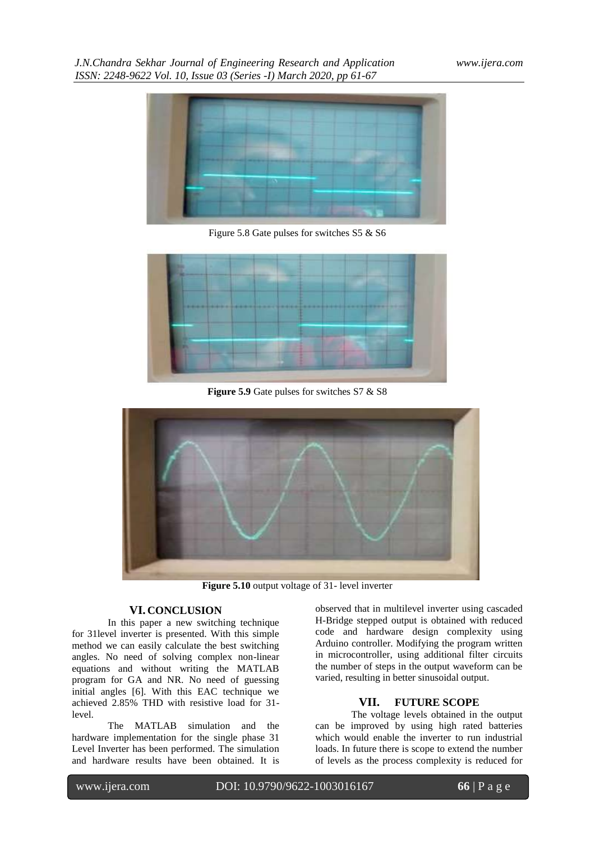*J.N.Chandra Sekhar Journal of Engineering Research and Application www.ijera.com ISSN: 2248-9622 Vol. 10, Issue 03 (Series -I) March 2020, pp 61-67*



Figure 5.8 Gate pulses for switches S5 & S6



**Figure 5.9** Gate pulses for switches S7 & S8



**Figure 5.10** output voltage of 31- level inverter

## **VI. CONCLUSION**

In this paper a new switching technique for 31level inverter is presented. With this simple method we can easily calculate the best switching angles. No need of solving complex non-linear equations and without writing the MATLAB program for GA and NR. No need of guessing initial angles [6]. With this EAC technique we achieved 2.85% THD with resistive load for 31 level.

The MATLAB simulation and the hardware implementation for the single phase 31 Level Inverter has been performed. The simulation and hardware results have been obtained. It is

observed that in multilevel inverter using cascaded H-Bridge stepped output is obtained with reduced code and hardware design complexity using Arduino controller. Modifying the program written in microcontroller, using additional filter circuits the number of steps in the output waveform can be varied, resulting in better sinusoidal output.

# **VII. FUTURE SCOPE**

The voltage levels obtained in the output can be improved by using high rated batteries which would enable the inverter to run industrial loads. In future there is scope to extend the number of levels as the process complexity is reduced for